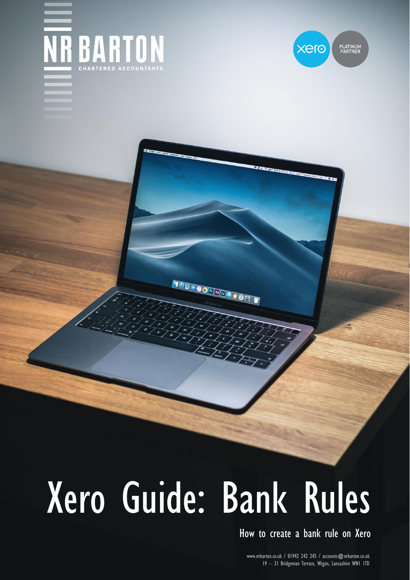



www.nrbarton.co.uk 01942 242 245

## Xero Guide: Bank Rules

**BOB-OOMWUO10A** 

How to create a bank rule on Xero

www.nrbarton.co.uk / 01942 242 245 / accounts@nrbarton.co.uk 19 – 21 Bridgeman Terrace, Wigan, Lancashire WN1 1TD